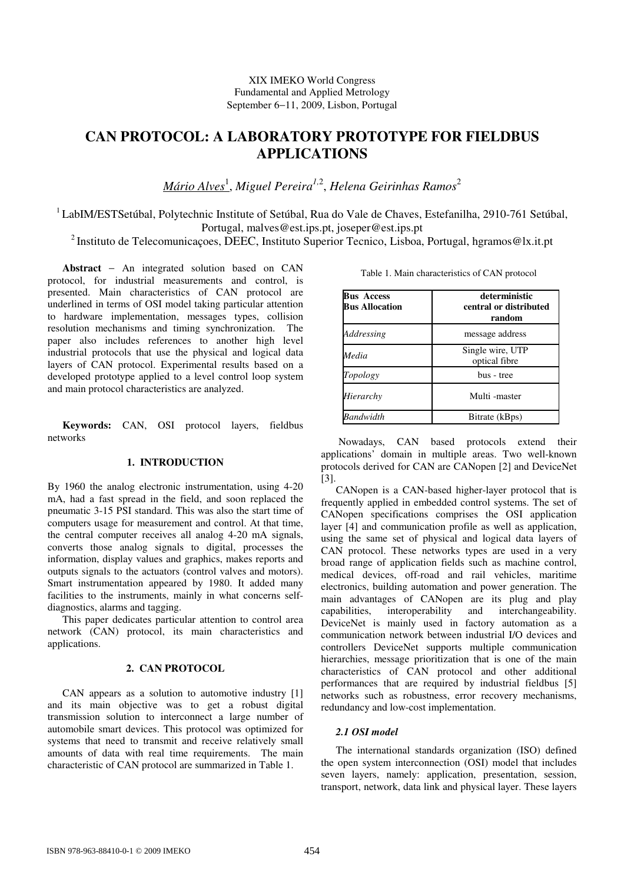# **CAN PROTOCOL: A LABORATORY PROTOTYPE FOR FIELDBUS APPLICATIONS**

*Mário Alves*<sup>1</sup> , *Miguel Pereira1,*<sup>2</sup> , *Helena Geirinhas Ramos*<sup>2</sup>

<sup>1</sup> LabIM/ESTSetúbal, Polytechnic Institute of Setúbal, Rua do Vale de Chaves, Estefanilha, 2910-761 Setúbal, Portugal, malves@est.ips.pt, joseper@est.ips.pt

<sup>2</sup> Instituto de Telecomunicações, DEEC, Instituto Superior Tecnico, Lisboa, Portugal, hgramos@lx.it.pt

**Abstract** − An integrated solution based on CAN protocol, for industrial measurements and control, is presented. Main characteristics of CAN protocol are underlined in terms of OSI model taking particular attention to hardware implementation, messages types, collision resolution mechanisms and timing synchronization. The paper also includes references to another high level industrial protocols that use the physical and logical data layers of CAN protocol. Experimental results based on a developed prototype applied to a level control loop system and main protocol characteristics are analyzed.

**Keywords:** CAN, OSI protocol layers, fieldbus networks

# **1. INTRODUCTION**

By 1960 the analog electronic instrumentation, using 4-20 mA, had a fast spread in the field, and soon replaced the pneumatic 3-15 PSI standard. This was also the start time of computers usage for measurement and control. At that time, the central computer receives all analog 4-20 mA signals, converts those analog signals to digital, processes the information, display values and graphics, makes reports and outputs signals to the actuators (control valves and motors). Smart instrumentation appeared by 1980. It added many facilities to the instruments, mainly in what concerns selfdiagnostics, alarms and tagging.

This paper dedicates particular attention to control area network (CAN) protocol, its main characteristics and applications.

# **2. CAN PROTOCOL**

CAN appears as a solution to automotive industry [1] and its main objective was to get a robust digital transmission solution to interconnect a large number of automobile smart devices. This protocol was optimized for systems that need to transmit and receive relatively small amounts of data with real time requirements. The main characteristic of CAN protocol are summarized in Table 1.

|  |  | Table 1. Main characteristics of CAN protocol |  |  |
|--|--|-----------------------------------------------|--|--|
|--|--|-----------------------------------------------|--|--|

| <b>Bus Access</b><br><b>Bus Allocation</b> | deterministic<br>central or distributed<br>random |
|--------------------------------------------|---------------------------------------------------|
| Addressing                                 | message address                                   |
| Media                                      | Single wire, UTP<br>optical fibre                 |
| Topology                                   | bus - tree                                        |
| Hierarchy                                  | Multi-master                                      |
| <b>Bandwidth</b>                           | Bitrate (kBps)                                    |

 Nowadays, CAN based protocols extend their applications' domain in multiple areas. Two well-known protocols derived for CAN are CANopen [2] and DeviceNet [3].

CANopen is a CAN-based higher-layer protocol that is frequently applied in embedded control systems. The set of CANopen specifications comprises the OSI application layer [4] and communication profile as well as application, using the same set of physical and logical data layers of CAN protocol. These networks types are used in a very broad range of application fields such as machine control, medical devices, off-road and rail vehicles, maritime electronics, building automation and power generation. The main advantages of CANopen are its plug and play capabilities, interoperability and interchangeability. DeviceNet is mainly used in factory automation as a communication network between industrial I/O devices and controllers DeviceNet supports multiple communication hierarchies, message prioritization that is one of the main characteristics of CAN protocol and other additional performances that are required by industrial fieldbus [5] networks such as robustness, error recovery mechanisms, redundancy and low-cost implementation.

# *2.1 OSI model*

The international standards organization (ISO) defined the open system interconnection (OSI) model that includes seven layers, namely: application, presentation, session, transport, network, data link and physical layer. These layers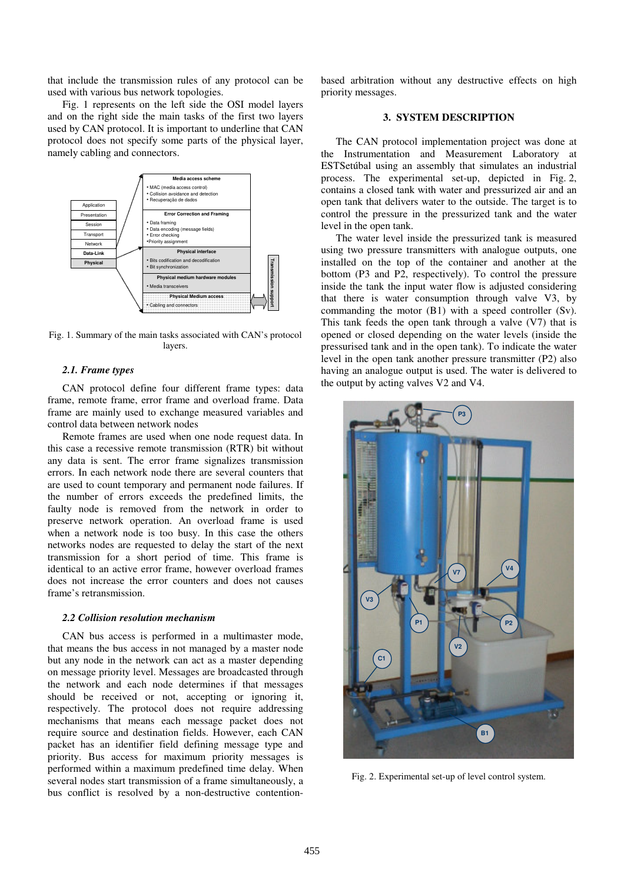that include the transmission rules of any protocol can be used with various bus network topologies.

Fig. 1 represents on the left side the OSI model layers and on the right side the main tasks of the first two layers used by CAN protocol. It is important to underline that CAN protocol does not specify some parts of the physical layer, namely cabling and connectors.



Fig. 1. Summary of the main tasks associated with CAN's protocol layers.

### *2.1. Frame types*

CAN protocol define four different frame types: data frame, remote frame, error frame and overload frame. Data frame are mainly used to exchange measured variables and control data between network nodes

Remote frames are used when one node request data. In this case a recessive remote transmission (RTR) bit without any data is sent. The error frame signalizes transmission errors. In each network node there are several counters that are used to count temporary and permanent node failures. If the number of errors exceeds the predefined limits, the faulty node is removed from the network in order to preserve network operation. An overload frame is used when a network node is too busy. In this case the others networks nodes are requested to delay the start of the next transmission for a short period of time. This frame is identical to an active error frame, however overload frames does not increase the error counters and does not causes frame's retransmission.

#### *2.2 Collision resolution mechanism*

CAN bus access is performed in a multimaster mode, that means the bus access in not managed by a master node but any node in the network can act as a master depending on message priority level. Messages are broadcasted through the network and each node determines if that messages should be received or not, accepting or ignoring it, respectively. The protocol does not require addressing mechanisms that means each message packet does not require source and destination fields. However, each CAN packet has an identifier field defining message type and priority. Bus access for maximum priority messages is performed within a maximum predefined time delay. When several nodes start transmission of a frame simultaneously, a bus conflict is resolved by a non-destructive contentionbased arbitration without any destructive effects on high priority messages.

# **3. SYSTEM DESCRIPTION**

The CAN protocol implementation project was done at the Instrumentation and Measurement Laboratory at ESTSetúbal using an assembly that simulates an industrial process. The experimental set-up, depicted in Fig. 2, contains a closed tank with water and pressurized air and an open tank that delivers water to the outside. The target is to control the pressure in the pressurized tank and the water level in the open tank.

The water level inside the pressurized tank is measured using two pressure transmitters with analogue outputs, one installed on the top of the container and another at the bottom (P3 and P2, respectively). To control the pressure inside the tank the input water flow is adjusted considering that there is water consumption through valve V3, by commanding the motor (B1) with a speed controller (Sv). This tank feeds the open tank through a valve (V7) that is opened or closed depending on the water levels (inside the pressurised tank and in the open tank). To indicate the water level in the open tank another pressure transmitter (P2) also having an analogue output is used. The water is delivered to the output by acting valves V2 and V4.



Fig. 2. Experimental set-up of level control system.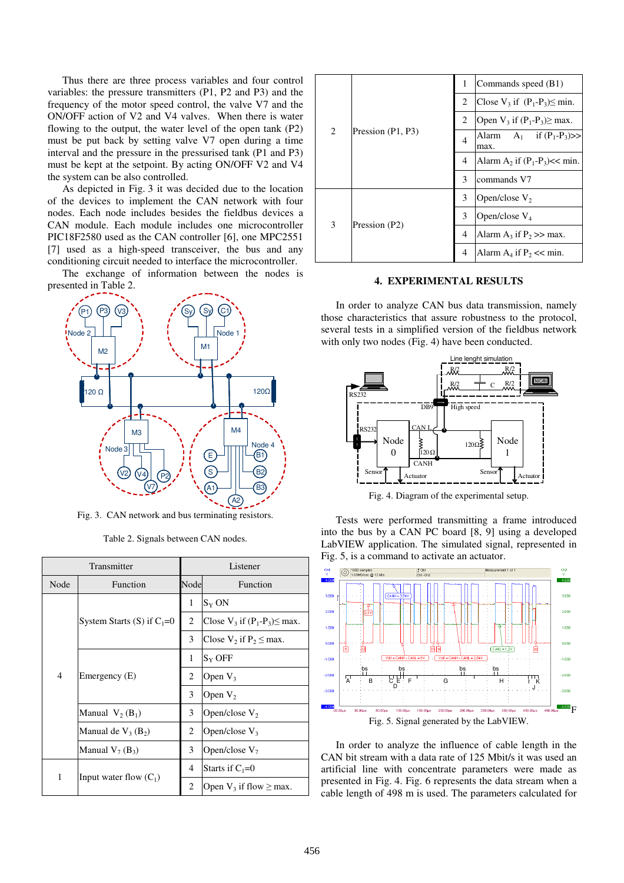Thus there are three process variables and four control variables: the pressure transmitters (P1, P2 and P3) and the frequency of the motor speed control, the valve V7 and the ON/OFF action of V2 and V4 valves. When there is water flowing to the output, the water level of the open tank (P2) must be put back by setting valve V7 open during a time interval and the pressure in the pressurised tank (P1 and P3) must be kept at the setpoint. By acting ON/OFF V2 and V4 the system can be also controlled.

As depicted in Fig. 3 it was decided due to the location of the devices to implement the CAN network with four nodes. Each node includes besides the fieldbus devices a CAN module. Each module includes one microcontroller PIC18F2580 used as the CAN controller [6], one MPC2551 [7] used as a high-speed transceiver, the bus and any conditioning circuit needed to interface the microcontroller.

The exchange of information between the nodes is presented in Table 2.



Fig. 3. CAN network and bus terminating resistors.

| Transmitter |                              | Listener |                                       |
|-------------|------------------------------|----------|---------------------------------------|
| Node        | Function                     | Node     | Function                              |
| 4           |                              | 1        | $S_Y ON$                              |
|             | System Starts (S) if $C_1=0$ | 2        | Close $V_3$ if $(P_1-P_3) \leq max$ . |
|             |                              | 3        | Close $V_2$ if $P_2 \leq$ max.        |
|             | Emergency (E)                | 1        | $S_Y$ OFF                             |
|             |                              | 2        | Open $V_3$                            |
|             |                              | 3        | Open $V_2$                            |
|             | Manual $V_2(B_1)$            | 3        | Open/close $V_2$                      |
|             | Manual de $V_3(B_2)$         | 2        | Open/close $V_3$                      |
|             | Manual $V_7(B_3)$            | 3        | Open/close $V_7$                      |
| 1           |                              | 4        | Starts if $C_1=0$                     |
|             | Input water flow $(C_1)$     | 2        | Open $V_3$ if flow $\geq$ max.        |

| 2 | Pression (P1, P3) | 1              | Commands speed (B1)                   |  |
|---|-------------------|----------------|---------------------------------------|--|
|   |                   | 2              | Close $V_3$ if $(P_1-P_3) \leq min$ . |  |
|   |                   | 2              | Open $V_3$ if $(P_1-P_3) \geq$ max.   |  |
|   |                   | 4              | Alarm $A_1$ if $(P_1-P_3)$ >><br>max. |  |
|   |                   | 4              | Alarm $A_2$ if $(P_1-P_3) \ll \min$ . |  |
|   |                   | 3              | commands V7                           |  |
| 3 | Pression (P2)     | 3              | Open/close $V_2$                      |  |
|   |                   | 3              | Open/close $V_4$                      |  |
|   |                   | $\overline{4}$ | Alarm $A_3$ if $P_2 \gg$ max.         |  |
|   |                   | 4              | Alarm $A_4$ if $P_2 \ll \text{min}$ . |  |

# **4. EXPERIMENTAL RESULTS**

In order to analyze CAN bus data transmission, namely those characteristics that assure robustness to the protocol, several tests in a simplified version of the fieldbus network with only two nodes (Fig. 4) have been conducted.



Fig. 4. Diagram of the experimental setup.

Tests were performed transmitting a frame introduced into the bus by a CAN PC board [8, 9] using a developed LabVIEW application. The simulated signal, represented in Fig. 5, is a command to activate an actuator.



In order to analyze the influence of cable length in the CAN bit stream with a data rate of 125 Mbit/s it was used an artificial line with concentrate parameters were made as presented in Fig. 4. Fig. 6 represents the data stream when a cable length of 498 m is used. The parameters calculated for